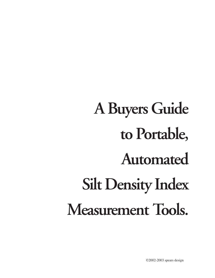# **A Buyers Guide to Portable, Automated Silt Density Index Measurement Tools.**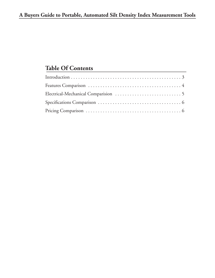## **Table Of Contents**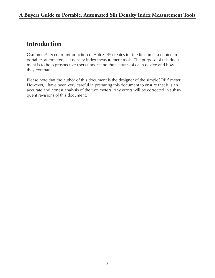# **Introduction**

Osmonics<sup>®</sup> recent re-introduction of AutoSDI<sup>®</sup> creates for the first time, a choice in portable, automated, silt density index measurement tools. The purpose of this document is to help prospective users understand the features of each device and how they compare.

Please note that the author of this document is the designer of the simpleSDI<sup>TM</sup> meter. However, I have been very careful in preparing this document to ensure that it is an accurate and honest analysis of the two meters. Any errors will be corrected in subsequent revisions of this document.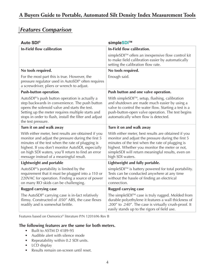### *Features Comparison*

| <b>Auto SDI®</b>                                                                                                                                                                                                                                                                                                    | simpleSDI™                                                                                                                                                                                                                                                                               |  |  |
|---------------------------------------------------------------------------------------------------------------------------------------------------------------------------------------------------------------------------------------------------------------------------------------------------------------------|------------------------------------------------------------------------------------------------------------------------------------------------------------------------------------------------------------------------------------------------------------------------------------------|--|--|
| <b>In-Field flow calibration</b>                                                                                                                                                                                                                                                                                    | In-Field flow calibration.                                                                                                                                                                                                                                                               |  |  |
|                                                                                                                                                                                                                                                                                                                     | simpleSDI™ offers an inexpensive flow control kit<br>to make field calibration easier by automatically<br>setting the calibration flow rate.                                                                                                                                             |  |  |
| No tools required.                                                                                                                                                                                                                                                                                                  | No tools required.                                                                                                                                                                                                                                                                       |  |  |
| For the most part this is true. However, the<br>pressure regulator used in AutoSDI® often requires<br>a screwdriver, pliers or wrench to adjust.                                                                                                                                                                    | Enough said.                                                                                                                                                                                                                                                                             |  |  |
| <b>Push-button operation.</b>                                                                                                                                                                                                                                                                                       | Push button and one valve operation.                                                                                                                                                                                                                                                     |  |  |
| AutoSDI <sup>®'</sup> s push button operation is actually a<br>step backwards in convenience. The push button<br>opens the solenoid valve and starts the test.<br>Setting up the meter requires multiple starts and<br>stops in order to flush, install the filter and adjust<br>the test pressure.                 | With simpleSDI™, setup, flushing, calibration<br>and shutdown are made much easier by using a<br>valve to control the water flow. Starting a test is a<br>push-button-open valve operation. The test begins<br>automatically when flow is detected.                                      |  |  |
| Turn it on and walk away                                                                                                                                                                                                                                                                                            | Turn it on and walk away                                                                                                                                                                                                                                                                 |  |  |
| With either meter, best results are obtained if you<br>monitor and adjust the pressure during the first 5<br>minutes of the test when the rate of plugging is<br>highest. If you don't monitor AutoSDI, especially<br>on high SDI waters, you'll return to find an error<br>message instead of a meaningful result. | With either meter, best results are obtained if you<br>monitor and adjust the pressure during the first 5<br>minutes of the test when the rate of plugging is<br>highest. Whether you monitor the meter or not,<br>simpleSDI will return meaningful results, even on<br>high SDI waters. |  |  |
| <b>Lightweight and portable</b>                                                                                                                                                                                                                                                                                     | Lightweight and fully portable.                                                                                                                                                                                                                                                          |  |  |
| AutoSDI <sup>®'</sup> s portability is limited by the<br>requirement that it must be plugged into a 110 or<br>220VAC for operation. Finding a source of power<br>on many RO skids can be challenging.                                                                                                               | simpleSDI™ is battery powered for total portability.<br>Tests can be conducted anywhere at any time<br>without the hassle of finding an electrical<br>connection.                                                                                                                        |  |  |
| <b>Rugged carrying case</b>                                                                                                                                                                                                                                                                                         | <b>Rugged carrying case</b>                                                                                                                                                                                                                                                              |  |  |
| The AutoSDI® carrying case is in-fact relatively<br>flimsy. Constructed of .050" ABS, the case flexes<br>readily and is somewhat brittle.                                                                                                                                                                           | The simpleSDI™ case is truly rugged. Molded from<br>durable polyethylene it features a wall thickness of<br>.200" to .240". The case is virtually crush-proof. It<br>easily stands up to the rigors of field use.                                                                        |  |  |

Features based on Osmonics® literature P/N 1201696 Rev B

#### **The following features are the same for both meters.**

- Built to ASTM D 4189-95
- Audible alert with silence mode
- Repeatability within 0.2 SDI units.
- LCD display
- Results remain on-screen until reset.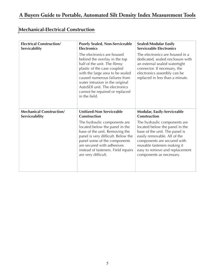# **Mechanical-Electrical Construction**

| <b>Electrical Construction/</b> | <b>Poorly Sealed, Non-Serviceable</b>                                                                                                                                                                                                                                                                                  | <b>Sealed/Modular Easily</b>                                                                                                                                                                                                                                  |  |
|---------------------------------|------------------------------------------------------------------------------------------------------------------------------------------------------------------------------------------------------------------------------------------------------------------------------------------------------------------------|---------------------------------------------------------------------------------------------------------------------------------------------------------------------------------------------------------------------------------------------------------------|--|
| Servicability                   | <b>Electronics</b>                                                                                                                                                                                                                                                                                                     | <b>Serviceable Electronics</b>                                                                                                                                                                                                                                |  |
|                                 | The electronics are housed<br>behind the overlay in the top<br>half of the unit. The flimsy<br>plastic of the case coupled<br>with the large area to be sealed<br>caused numerous failures from<br>water intrusion in the original<br>AutoSDI unit. The electronics<br>cannot be repaired or replaced<br>in the field. | The electronics are housed in a<br>dedicated, sealed enclosure with<br>an external sealed watertight<br>connector. If necessary, the<br>electronics assembly can be<br>replaced in less than a minute.                                                        |  |
| <b>Mechanical Construction/</b> | <b>Unitized-Non Serviceable</b>                                                                                                                                                                                                                                                                                        | <b>Modular, Easily-Serviceable</b>                                                                                                                                                                                                                            |  |
| Serviceability                  | <b>Construction</b>                                                                                                                                                                                                                                                                                                    | <b>Construction</b>                                                                                                                                                                                                                                           |  |
|                                 | The hydraulic components are<br>located below the panel in the<br>base of the unit. Removing the<br>panel is very difficult. Below the<br>panel some of the components<br>are secured with adhesives<br>instead of fasteners. Field repairs<br>are very difficult.                                                     | The hydraulic components are<br>located below the panel in the<br>base of the unit. The panel is<br>easily removable. All of the<br>components are secured with<br>reusable fasteners making it<br>easy to remove and replacement<br>components as necessary. |  |